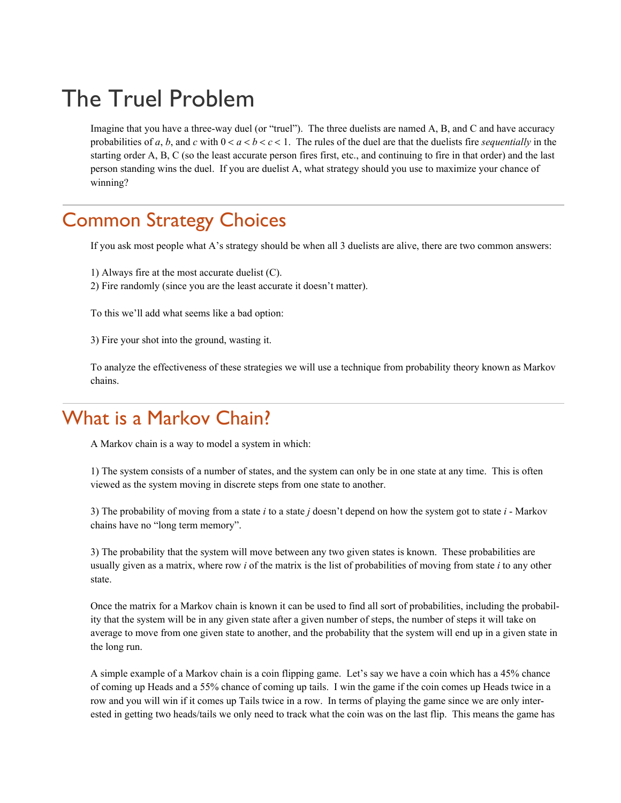# The Truel Problem

Imagine that you have a three-way duel (or "truel"). The three duelists are named A, B, and C and have accuracy probabilities of *a*, *b*, and *c* with  $0 < a < b < c < 1$ . The rules of the duel are that the duelists fire *sequentially* in the starting order A, B, C (so the least accurate person fires first, etc., and continuing to fire in that order) and the last person standing wins the duel. If you are duelist A, what strategy should you use to maximize your chance of winning?

## Common Strategy Choices

If you ask most people what A's strategy should be when all 3 duelists are alive, there are two common answers:

1) Always fire at the most accurate duelist (C).

2) Fire randomly (since you are the least accurate it doesn't matter).

To this we'll add what seems like a bad option:

3) Fire your shot into the ground, wasting it.

To analyze the effectiveness of these strategies we will use a technique from probability theory known as Markov chains.

### What is a Markov Chain?

A Markov chain is a way to model a system in which:

1) The system consists of a number of states, and the system can only be in one state at any time. This is often viewed as the system moving in discrete steps from one state to another.

3) The probability of moving from a state *i* to a state *j* doesn't depend on how the system got to state *i* - Markov chains have no "long term memory".

3) The probability that the system will move between any two given states is known. These probabilities are usually given as a matrix, where row *i* of the matrix is the list of probabilities of moving from state *i* to any other state.

Once the matrix for a Markov chain is known it can be used to find all sort of probabilities, including the probability that the system will be in any given state after a given number of steps, the number of steps it will take on average to move from one given state to another, and the probability that the system will end up in a given state in the long run.

A simple example of a Markov chain is a coin flipping game. Let's say we have a coin which has a 45% chance of coming up Heads and a 55% chance of coming up tails. I win the game if the coin comes up Heads twice in a row and you will win if it comes up Tails twice in a row. In terms of playing the game since we are only interested in getting two heads/tails we only need to track what the coin was on the last flip. This means the game has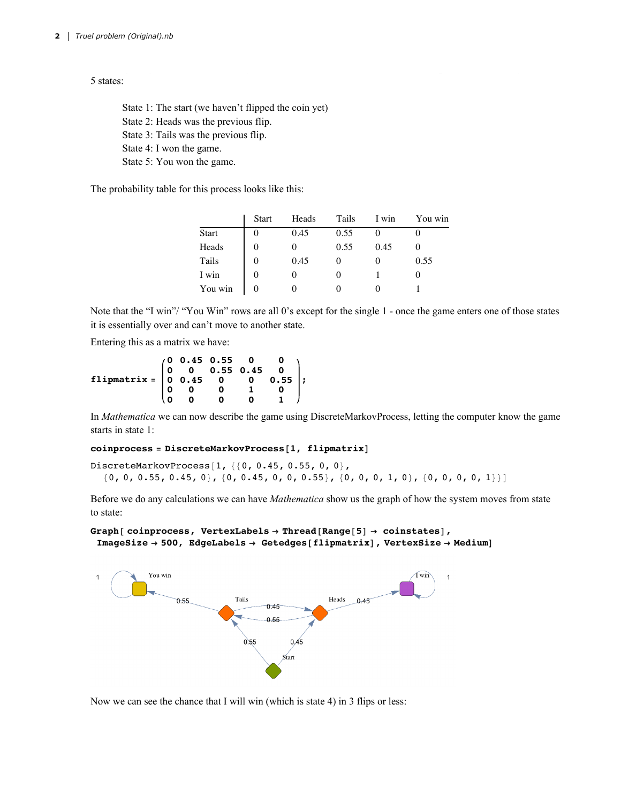5 states:

State 1: The start (we haven't flipped the coin yet) State 2: Heads was the previous flip. State 3: Tails was the previous flip. State 4: I won the game. State 5: You won the game.

The probability table for this process looks like this:

|              | <b>Start</b> | Heads | Tails | I win | You win |
|--------------|--------------|-------|-------|-------|---------|
| <b>Start</b> |              | 0.45  | 0.55  |       |         |
| Heads        |              |       | 0.55  | 0.45  |         |
| Tails        |              | 0.45  |       |       | 0.55    |
| I win        |              |       |       |       |         |
| You win      |              |       |       |       |         |

Note that the "I win"/ "You Win" rows are all 0's except for the single 1 - once the game enters one of those states it is essentially over and can't move to another state.

Entering this as a matrix we have:

```
flipmatrix =
          0 0.45 0.55 0 0
          0 0 0.55 0.45 0
          0 0.45 0 0 0.55
                 0 0 0 1 0
          0 0 0 0 1
                            ;
```
In *Mathematica* we can now describe the game using DiscreteMarkovProcess, letting the computer know the game starts in state 1:

#### **coinprocess = DiscreteMarkovProcess[1, flipmatrix]**

DiscreteMarkovProcess[1, {{0, 0.45, 0.55, 0, 0},  ${0, 0, 0.55, 0.45, 0}, {0, 0.45, 0, 0, 0, 0.55}, {0, 0, 0, 1, 0}, {0, 0, 0, 0, 1}}$ 

Before we do any calculations we can have *Mathematica* show us the graph of how the system moves from state to state:

```
Graph[ coinprocess, VertexLabels → Thread[Range[5] → coinstates],
 ImageSize → 500, EdgeLabels → Getedges[flipmatrix], VertexSize → Medium]
```


Now we can see the chance that I will win (which is state 4) in 3 flips or less: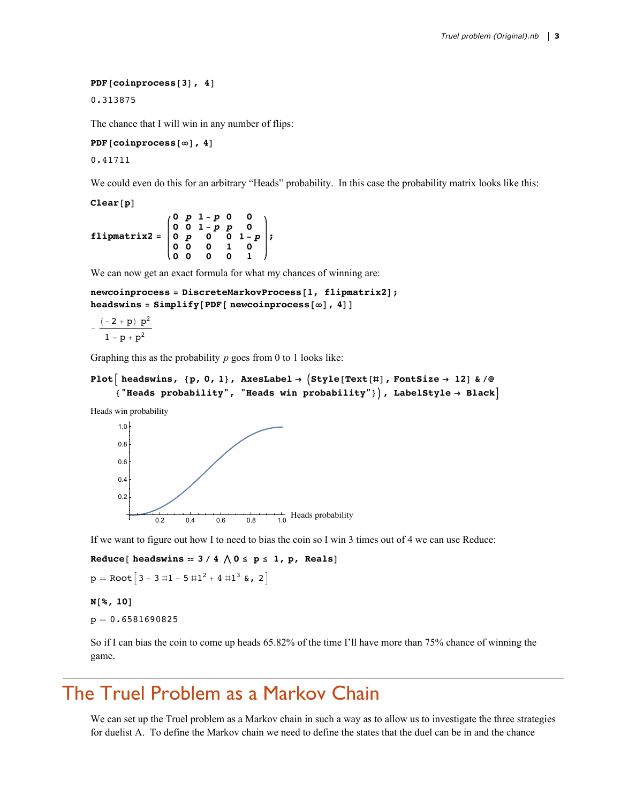#### **PDF[coinprocess[3], 4]**

0.313875

The chance that I will win in any number of flips:

**PDF[coinprocess[∞], 4]**

0.41711

We could even do this for an arbitrary "Heads" probability. In this case the probability matrix looks like this:

**Clear[p]**

**flipmatrix2 = 0** *p* **1 -** *p* **0 0 0 0 1 -** *p p* **0 0** *p* **0 0 1 -** *p* **0 0 0 1 0 0 0 0 0 1 ;**

We can now get an exact formula for what my chances of winning are:

```
newcoinprocess = DiscreteMarkovProcess[1, flipmatrix2];
headswins = Simplify[PDF[ newcoinprocess[∞], 4]]
```

```
- (-2 + p) p<sup>2</sup>1 - p + p^2
```
Graphing this as the probability *p* goes from 0 to 1 looks like:

```
Plot \begin{bmatrix} \text{heads wins, } \{p, 0, 1\}, \text{axesLabel} \rightarrow \text{Style}[\text{Text}[\texttt{#}], \text{FontSize} \rightarrow 12] \& \text{/@} \end{bmatrix}{"Heads probability", "Heads win probability"}, LabelStyle → Black
```
Heads win probability



If we want to figure out how I to need to bias the coin so I win 3 times out of 4 we can use Reduce:

 $Reduce[$  **headswins** =  $3 / 4 \land 0 \le p \le 1$ , **p**, **Reals** 

```
p = Root[3 - 3 \text{ #}1 - 5 \text{ #}1^2 + 4 \text{ #}1^3 \text{ %}, 2
```
**N[%, 10]**

 $p = 0.6581690825$ 

So if I can bias the coin to come up heads 65.82% of the time I'll have more than 75% chance of winning the game.

### The Truel Problem as a Markov Chain

We can set up the Truel problem as a Markov chain in such a way as to allow us to investigate the three strategies for duelist A. To define the Markov chain we need to define the states that the duel can be in and the chance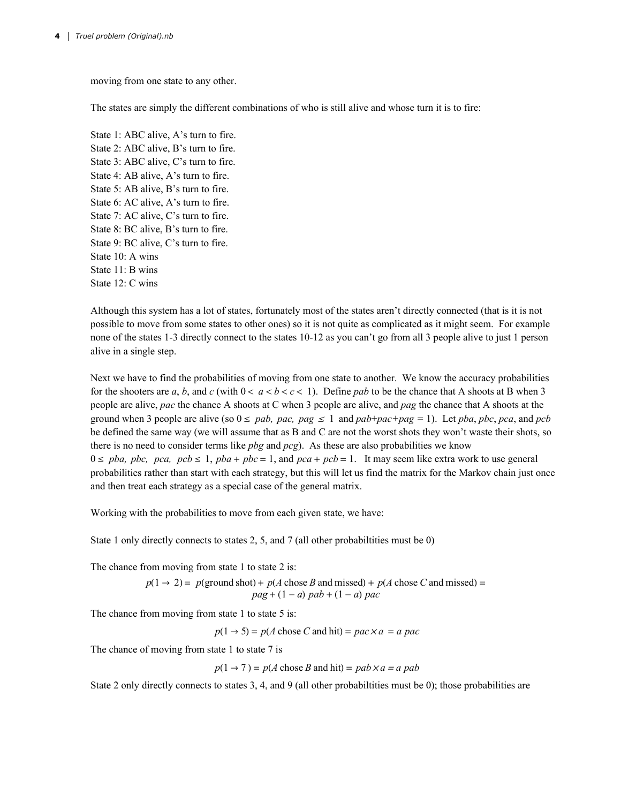moving from one state to any other.

The states are simply the different combinations of who is still alive and whose turn it is to fire:

State 1: ABC alive, A's turn to fire. State 2: ABC alive, B's turn to fire. State 3: ABC alive, C's turn to fire. State 4: AB alive, A's turn to fire. State 5: AB alive, B's turn to fire. State 6: AC alive, A's turn to fire. State 7: AC alive, C's turn to fire. State 8: BC alive, B's turn to fire. State 9: BC alive, C's turn to fire. State 10: A wins State 11: B wins State 12: C wins

Although this system has a lot of states, fortunately most of the states aren't directly connected (that is it is not possible to move from some states to other ones) so it is not quite as complicated as it might seem. For example none of the states 1-3 directly connect to the states 10-12 as you can't go from all 3 people alive to just 1 person alive in a single step.

Next we have to find the probabilities of moving from one state to another. We know the accuracy probabilities for the shooters are *a*, *b*, and *c* (with  $0 < a < b < c < 1$ ). Define *pab* to be the chance that A shoots at B when 3 people are alive, *pac* the chance A shoots at C when 3 people are alive, and *pag* the chance that A shoots at the ground when 3 people are alive (so  $0 \leq pab$ , pac, pag  $\leq 1$  and  $pab+pac+pag = 1$ ). Let pba, pbc, pca, and pcb be defined the same way (we will assume that as B and C are not the worst shots they won't waste their shots, so there is no need to consider terms like *pbg* and *pcg*). As these are also probabilities we know  $0 \leq pba$ ,  $pbc$ ,  $pca$ ,  $pcb \leq 1$ ,  $pba + pbc = 1$ , and  $pca + pcb = 1$ . It may seem like extra work to use general probabilities rather than start with each strategy, but this will let us find the matrix for the Markov chain just once and then treat each strategy as a special case of the general matrix.

Working with the probabilities to move from each given state, we have:

State 1 only directly connects to states 2, 5, and 7 (all other probabiltities must be 0)

The chance from moving from state 1 to state 2 is:

$$
p(1 \rightarrow 2) = p(\text{ground shot}) + p(A \text{ chose } B \text{ and missed}) + p(A \text{ chose } C \text{ and missed}) =
$$
  
 
$$
pag + (1 - a) \text{ pad} + (1 - a) \text{ pac}
$$

The chance from moving from state 1 to state 5 is:

 $p(1 \rightarrow 5) = p(A \text{ chose } C \text{ and hit}) = pac \times a = a pac$ 

The chance of moving from state 1 to state 7 is

 $p(1 \rightarrow 7) = p(A \text{ chose } B \text{ and hit}) = pab \times a = a \text{ pab}$ 

State 2 only directly connects to states 3, 4, and 9 (all other probabilities must be 0); those probabilities are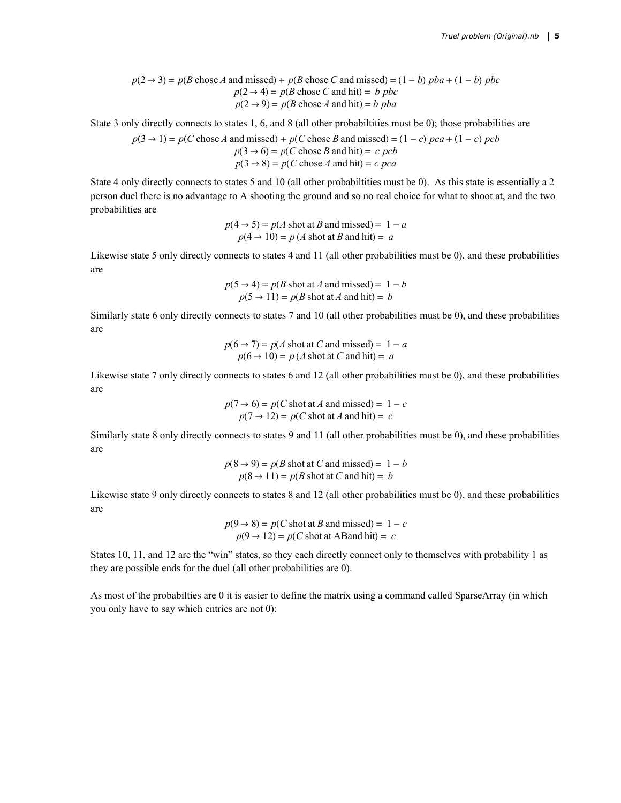$p(2 \rightarrow 3) = p(B \text{ chose } A \text{ and missed}) + p(B \text{ chose } C \text{ and missed}) = (1 - b) pba + (1 - b) pbc$  $p(2 \rightarrow 4) = p(B \text{ chose } C \text{ and hit}) = b \text{ pbc}$  $p(2 \rightarrow 9) = p(B \text{ chose } A \text{ and hit}) = b \text{ pba}$ 

State 3 only directly connects to states 1, 6, and 8 (all other probabilities must be 0); those probabilities are

 $p(3 \rightarrow 1) = p(C \text{ chose } A \text{ and missed}) + p(C \text{ chose } B \text{ and missed}) = (1 - c) pca + (1 - c) pcb$  $p(3 \rightarrow 6) = p(C \text{ chose } B \text{ and hit}) = c \text{ } pcb$  $p(3 \rightarrow 8) = p(C \text{ chose } A \text{ and hit}) = c \ pca$ 

State 4 only directly connects to states 5 and 10 (all other probabiltities must be 0). As this state is essentially a 2 person duel there is no advantage to A shooting the ground and so no real choice for what to shoot at, and the two probabilities are

$$
p(4 \rightarrow 5) = p(A \text{ shot at } B \text{ and missed}) = 1 - a
$$
  

$$
p(4 \rightarrow 10) = p(A \text{ shot at } B \text{ and hit}) = a
$$

Likewise state 5 only directly connects to states 4 and 11 (all other probabilities must be 0), and these probabilities are

$$
p(5 \rightarrow 4) = p(B \text{ shot at } A \text{ and missed}) = 1 - b
$$
  

$$
p(5 \rightarrow 11) = p(B \text{ shot at } A \text{ and hit}) = b
$$

Similarly state 6 only directly connects to states 7 and 10 (all other probabilities must be 0), and these probabilities are

$$
p(6 \rightarrow 7) = p(A \text{ shot at } C \text{ and missed}) = 1 - a
$$
  

$$
p(6 \rightarrow 10) = p(A \text{ shot at } C \text{ and hit}) = a
$$

Likewise state 7 only directly connects to states 6 and 12 (all other probabilities must be 0), and these probabilities are

$$
p(7 \rightarrow 6) = p(C \text{ shot at } A \text{ and missed}) = 1 - c
$$
  

$$
p(7 \rightarrow 12) = p(C \text{ shot at } A \text{ and hit}) = c
$$

Similarly state 8 only directly connects to states 9 and 11 (all other probabilities must be 0), and these probabilities are

$$
p(8 \rightarrow 9) = p(B \text{ shot at } C \text{ and missed}) = 1 - b
$$
  

$$
p(8 \rightarrow 11) = p(B \text{ shot at } C \text{ and hit}) = b
$$

Likewise state 9 only directly connects to states 8 and 12 (all other probabilities must be 0), and these probabilities are

$$
p(9 \rightarrow 8) = p(C \text{ shot at } B \text{ and missed}) = 1 - c
$$
  

$$
p(9 \rightarrow 12) = p(C \text{ shot at } A \text{Band hit}) = c
$$

States 10, 11, and 12 are the "win" states, so they each directly connect only to themselves with probability 1 as they are possible ends for the duel (all other probabilities are 0).

As most of the probabilties are 0 it is easier to define the matrix using a command called SparseArray (in which you only have to say which entries are not 0):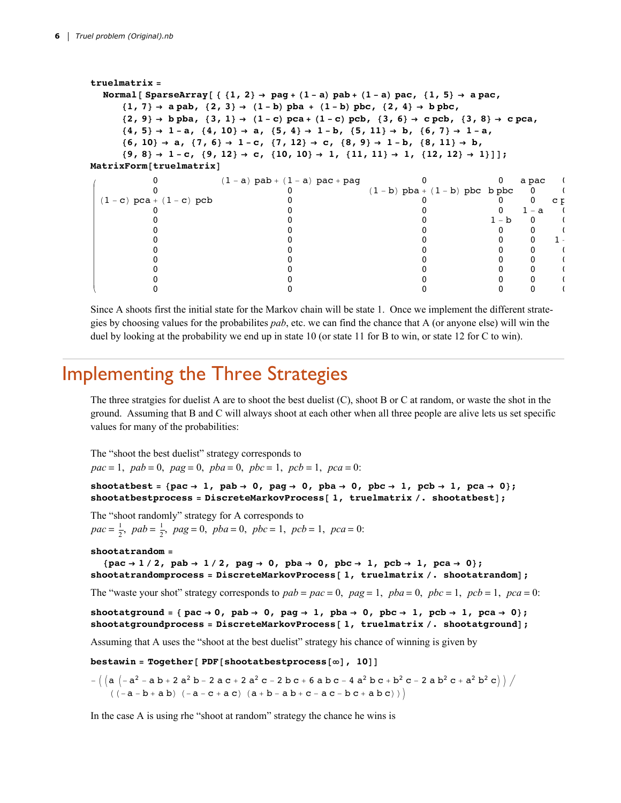```
truelmatrix =
 Normal [SparseArray [{\{1, 2\} \rightarrow pag + (1 - a) pab + (1 - a) pac, \{1, 5\} \rightarrow a pac,
    \{1, 7\} \rightarrow a pab, \{2, 3\} \rightarrow (1 - b) pba + (1 - b) pbc, \{2, 4\} \rightarrow b pbc,
    \{2, 9\} \rightarrow b pba, \{3, 1\} \rightarrow (1-c) pca + (1-c) pcb, \{3, 6\} \rightarrow c pcb, \{3, 8\} \rightarrow c pca,
    \{4, 5\} \rightarrow 1-a, \{4, 10\} \rightarrow a, \{5, 4\} \rightarrow 1-b, \{5, 11\} \rightarrow b, \{6, 7\} \rightarrow 1-a,
    \{6, 10\} \rightarrow a, \{7, 6\} \rightarrow 1-c, \{7, 12\} \rightarrow c, \{8, 9\} \rightarrow 1-b, \{8, 11\} \rightarrow b,\{9, 8\} \rightarrow 1-c, \{9, 12\} \rightarrow c, \{10, 10\} \rightarrow 1, \{11, 11\} \rightarrow 1, \{12, 12\} \rightarrow 1\}];
MatrixForm[truelmatrix]
         0 (1 - a) pab + (1 - a) pac + pag \begin{array}{cc} 0 & 0 & a pac 0 a pac 0 0 (1 - b) pba + (1 - b) pbc b pbc 0
                             0 (1 - b) pba + (1 - b) pbc b pbc \begin{bmatrix} 0 & 0 \ 0 & 0 & 0 \end{bmatrix}(1 - c) pca + (1 - c) pcb 0<br>0 0 0 0 1 - a
         0 0 0 0 0 1 - a 1
         0 0 0 1 - b 0 0
         0 0 0 0 0 0
         0 0 0 0 0 1
         0 0 0 0 0 0
         0 0 0 0 0 0
         0 0 0 0 0 0
         0 0 0 0 0 0
         0 0 0 0 0 0
```
Since A shoots first the initial state for the Markov chain will be state 1. Once we implement the different strategies by choosing values for the probabilites *pab*, etc. we can find the chance that A (or anyone else) will win the duel by looking at the probability we end up in state 10 (or state 11 for B to win, or state 12 for C to win).

### Implementing the Three Strategies

The three stratgies for duelist A are to shoot the best duelist (C), shoot B or C at random, or waste the shot in the ground. Assuming that B and C will always shoot at each other when all three people are alive lets us set specific values for many of the probabilities:

The "shoot the best duelist" strategy corresponds to *pac* = 1, *pab* = 0, *pag* = 0, *pba* = 0, *pbc* = 1, *pcb* = 1, *pca* = 0:

shootatbest = {pac  $\rightarrow$  1, pab  $\rightarrow$  0, pag  $\rightarrow$  0, pba  $\rightarrow$  0, pbc  $\rightarrow$  1, pcb  $\rightarrow$  1, pca  $\rightarrow$  0}; **shootatbestprocess = DiscreteMarkovProcess[ 1, truelmatrix /. shootatbest];**

The "shoot randomly" strategy for A corresponds to  $pac = \frac{1}{2}$ ,  $pab = \frac{1}{2}$ ,  $pag = 0$ ,  $pba = 0$ ,  $pbc = 1$ ,  $pcb = 1$ ,  $pca = 0$ :

#### **shootatrandom =**

{pac  $\rightarrow$  1/2, pab  $\rightarrow$  1/2, pag  $\rightarrow$  0, pba  $\rightarrow$  0, pbc  $\rightarrow$  1, pcb  $\rightarrow$  1, pca  $\rightarrow$  0}; **shootatrandomprocess = DiscreteMarkovProcess[ 1, truelmatrix /. shootatrandom];**

The "waste your shot" strategy corresponds to  $pab = pac = 0$ ,  $pag = 1$ ,  $pba = 0$ ,  $pbc = 1$ ,  $pcb = 1$ ,  $pca = 0$ :

shootatground = { pac  $\rightarrow$  0, pab  $\rightarrow$  0, pag  $\rightarrow$  1, pba  $\rightarrow$  0, pbc  $\rightarrow$  1, pcb  $\rightarrow$  1, pca  $\rightarrow$  0}; **shootatgroundprocess = DiscreteMarkovProcess[ 1, truelmatrix /. shootatground];**

Assuming that A uses the "shoot at the best duelist" strategy his chance of winning is given by

**bestawin = Together[ PDF[shootatbestprocess[∞], 10]]**

 $-((a (-a^2 - a b + 2 a^2 b - 2 a c + 2 a^2 c - 2 b c + 6 a b c - 4 a^2 b c + b^2 c - 2 a b^2 c + a^2 b^2 c))$  $((-a - b + a b) (-a - c + a c) (a + b - a b + c - a c - b c + a b c)))$ 

In the case A is using rhe "shoot at random" strategy the chance he wins is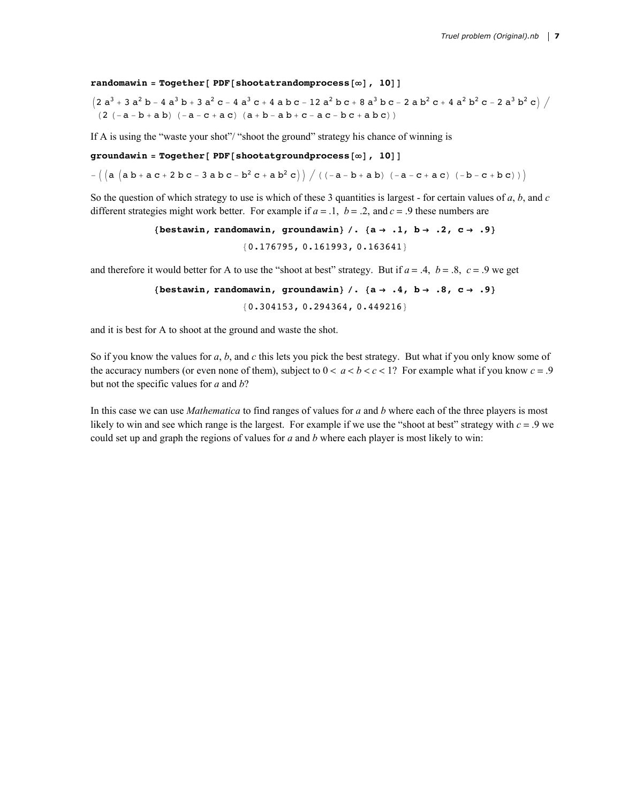**randomawin = Together[ PDF[shootatrandomprocess[∞], 10]]**

 $(2 a<sup>3</sup> + 3 a<sup>2</sup> b - 4 a<sup>3</sup> b + 3 a<sup>2</sup> c - 4 a<sup>3</sup> c + 4 a b c - 12 a<sup>2</sup> b c + 8 a<sup>3</sup> b c - 2 a b<sup>2</sup> c + 4 a<sup>2</sup> b<sup>2</sup> c - 2 a<sup>3</sup> b<sup>2</sup> c)$  $(2 (-a - b + a b) (-a - c + a c) (a + b - a b + c - a c - b c + a b c))$ 

If A is using the "waste your shot"/ "shoot the ground" strategy his chance of winning is

**groundawin = Together[ PDF[shootatgroundprocess[∞], 10]]**

 $\mathcal{L} = \left( \begin{pmatrix} a & b + a & c + 2 & b & c - 3 & a & b & c - b^2 & c + a & b^2 & c \end{pmatrix} \right) / \left( \begin{pmatrix} -a & -b & + a & b \end{pmatrix} \begin{pmatrix} -a & -c & + a & c \end{pmatrix} \right) - \left( \begin{pmatrix} -b & -c & + b & c \end{pmatrix} \right)$ 

So the question of which strategy to use is which of these 3 quantities is largest - for certain values of *a*, *b*, and *c* different strategies might work better. For example if  $a = 0.1$ ,  $b = 0.2$ , and  $c = 0.9$  these numbers are

```
{bestawin, randomawin, groundawin} /. {a → .1, b → .2, c → .9}
               {0.176795, 0.161993, 0.163641}
```
and therefore it would better for A to use the "shoot at best" strategy. But if  $a = .4$ ,  $b = .8$ ,  $c = .9$  we get

```
{bestawin, randomawin, groundawin} /. {a → .4, b → .8, c → .9}
                {0.304153, 0.294364, 0.449216}
```
and it is best for A to shoot at the ground and waste the shot.

So if you know the values for *a*, *b*, and *c* this lets you pick the best strategy. But what if you only know some of the accuracy numbers (or even none of them), subject to  $0 < a < b < c < 1$ ? For example what if you know  $c = 0$ . but not the specific values for *a* and *b*?

In this case we can use *Mathematica* to find ranges of values for *a* and *b* where each of the three players is most likely to win and see which range is the largest. For example if we use the "shoot at best" strategy with  $c = 0$  we could set up and graph the regions of values for *a* and *b* where each player is most likely to win: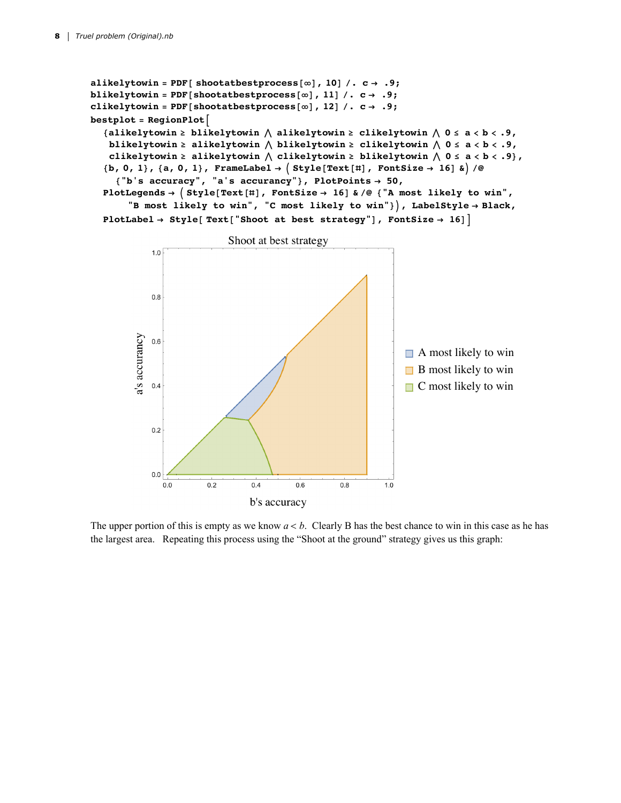```
alikelytowin = \text{PDF} [ shootatbestprocess [\infty], 10] \angle c \rightarrow .9;
blikelytowin = PDF[shootatbestprocess[∞], 11] /. c → .9;
\text{clikelytovin} = \text{PDF}[\text{shootatbestprocess}[\infty], 12] / \text{. c} \rightarrow .9;bestplot = RegionPlot
   {alikelytowin ≥ blikelytowin  alikelytowin ≥ clikelytowin  0 ≤ a < b < .9,
    blikelytowin ≥ alikelytowin  blikelytowin ≥ clikelytowin  0 ≤ a < b < .9,
    clikelytowin ≥ alikelytowin  clikelytowin ≥ blikelytowin  0 ≤ a < b < .9},
   \{b, 0, 1\}, \{a, 0, 1\}, FrameLabel \rightarrow \{\text{Style}[\text{Text}[\texttt{#}], \texttt{FontSize} \rightarrow 16] \& \}{"b's accuracy", "a's accurancy"}, PlotPoints → 50,
  PlotLegends →  Style[Text[#], FontSize → 16] & /@ {"A most likely to win",
        "B most likely to win", "C most likely to win"}, LabelStyle → Black,
  PlotLabel \rightarrow Style[Text{?} FontSize \rightarrow 16]
```


The upper portion of this is empty as we know *a* < *b*. Clearly B has the best chance to win in this case as he has the largest area. Repeating this process using the "Shoot at the ground" strategy gives us this graph: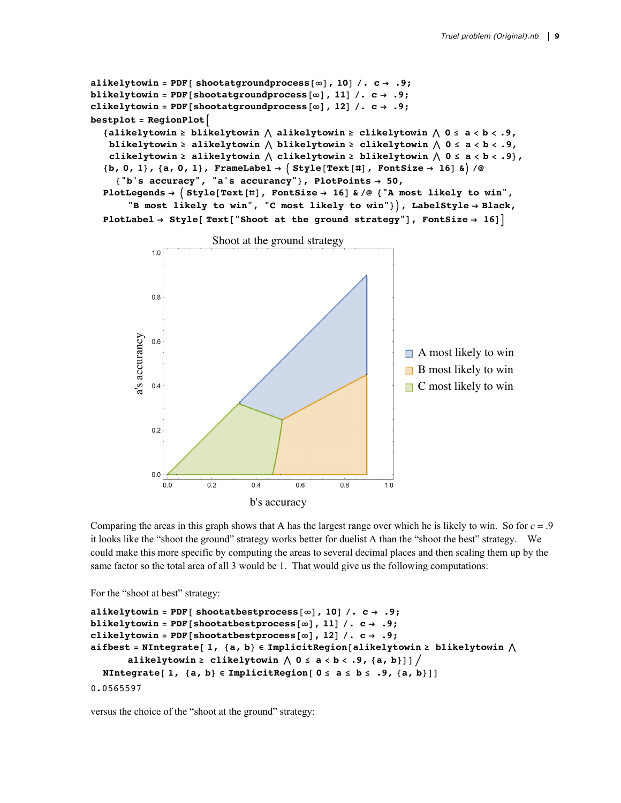```
alikelytowin = PDF[ shootatgroundprocess[\infty], 10] \neq c \rightarrow .9;
blikelytowin = PDF[shootatgroundprocess[∞], 11] /. c → .9;
clikely to win = PDF[shootatgroundprocess[\infty], 12] / C \rightarrow .9;bestplot = RegionPlot
   {alikelytowin ≥ blikelytowin  alikelytowin ≥ clikelytowin  0 ≤ a < b < .9,
    blikelytowin \geq alikelytowin \wedge blikelytowin \geq clikelytowin \wedge 0 \leq a \lt b \lt .9,
    clikelytowin ≥ alikelytowin  clikelytowin ≥ blikelytowin  0 ≤ a < b < .9},
   \{b, 0, 1\}, \{a, 0, 1\}, FrameLabel \rightarrow \{ \text{style} [\text{Text}[\text{\texttt{#}}], FontSize \rightarrow 16] & \rangle / \emptyset{"b's accuracy", "a's accurancy"}, PlotPoints → 50,
   PlotLegends →  Style[Text[#], FontSize → 16] & /@ {"A most likely to win",
        "B most likely to win", "C most likely to win"}, LabelStyle → Black,
   PlotLabel \rightarrow Style [Text]<sup></sup> [Shoot at the ground strategy<sup>"</sup>], FontSize \rightarrow 16]
```


Comparing the areas in this graph shows that A has the largest range over which he is likely to win. So for  $c = .9$ it looks like the "shoot the ground" strategy works better for duelist A than the "shoot the best" strategy. We could make this more specific by computing the areas to several decimal places and then scaling them up by the same factor so the total area of all 3 would be 1. That would give us the following computations:

For the "shoot at best" strategy:

```
alikelytowin = PDF[\text{shootatbestprocess}[\infty], 10] \angle, \text{c} \rightarrow .9;blikelytowin = PDF [shootatbestprocess [\infty], 11] \neq, c \rightarrow .9;
clikelytowin = PDF[shootatbestprocess[\infty], 12] \angle c \rightarrow .9;
aifbest = NIntegrate[ 1, {a, b} ∈ ImplicitRegion[alikelytowin ≥ blikelytowin 
        alikelytowin \ge clikelytowin \wedge 0 \le a \lt b \lt .9, {a, b}]] \neqNIntegrate[ 1, {a, b} ∈ ImplicitRegion[ 0 ≤ a ≤ b ≤ .9, {a, b}]]
0.0565597
```
versus the choice of the "shoot at the ground" strategy: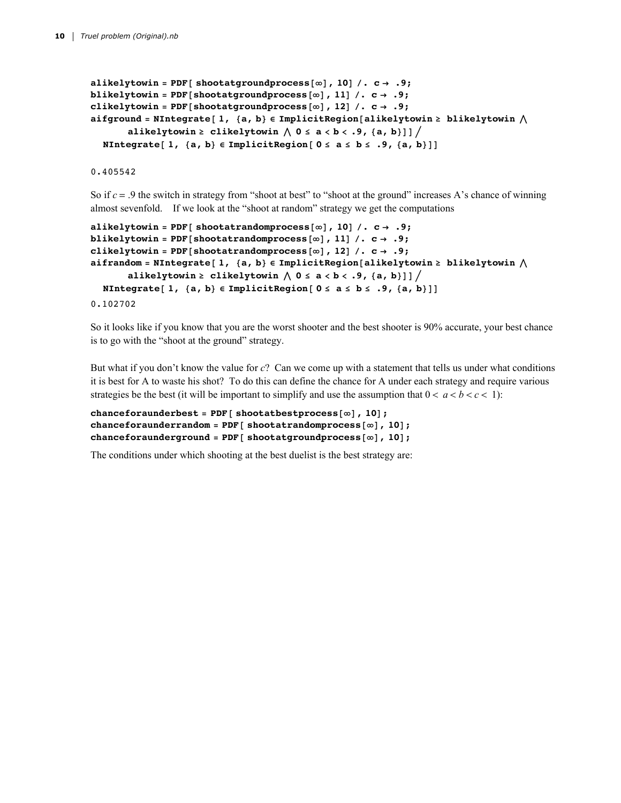```
alikelytowin = PDF[ shootatgroundprocess[\infty], 10] \neq c \rightarrow .9;
blikelytowin = PDF[shootatgroundprocess[∞], 11] /. c → .9;
clikely to win = PDF[shootatgroundprocess[\infty], 12] / C \rightarrow .9;aifground = NIntegrate[ 1, {a, b} ∈ ImplicitRegion[alikelytowin ≥ blikelytowin 
        alikelytowin \ge clikelytowin \wedge 0 \le a \lt b \lt .9, {a, b}]] \neqNIntegrate[ 1, {a, b} ∈ ImplicitRegion[ 0 ≤ a ≤ b ≤ .9, {a, b}]]
```
0.405542

So if  $c = .9$  the switch in strategy from "shoot at best" to "shoot at the ground" increases A's chance of winning almost sevenfold. If we look at the "shoot at random" strategy we get the computations

```
alikelytowin = \text{PDF} [ shootatrandomprocess [\infty], 10] \angle c \rightarrow .9;
blikelytowin = PDF[shootatrandomprocess[∞], 11] /. c → .9;
clikely to win = PDF[</math> <i>shootatrandomprocess</i> <math>[\infty]</math> <i>, 12</i> <math>] / . . . . . .9;aifrandom = NIntegrate[ 1, {a, b} ∈ ImplicitRegion[alikelytowin ≥ blikelytowin 
        alikelytowin ≥ clikelytowin  0 ≤ a < b < .9, {a, b}]] 
  NIntegrate[ 1, {a, b} ∈ ImplicitRegion[ 0 ≤ a ≤ b ≤ .9, {a, b}]]
0.102702
```
So it looks like if you know that you are the worst shooter and the best shooter is 90% accurate, your best chance is to go with the "shoot at the ground" strategy.

But what if you don't know the value for *c*? Can we come up with a statement that tells us under what conditions it is best for A to waste his shot? To do this can define the chance for A under each strategy and require various strategies be the best (it will be important to simplify and use the assumption that  $0 < a < b < c < 1$ ):

```
chanceforaunderbest = PDF[ shootatbestprocess[∞], 10];
chanceforaunderrandom = PDF[ shootatrandomprocess[∞], 10];
chanceforaunderground = PDF[ shootatgroundprocess[∞], 10];
```
The conditions under which shooting at the best duelist is the best strategy are: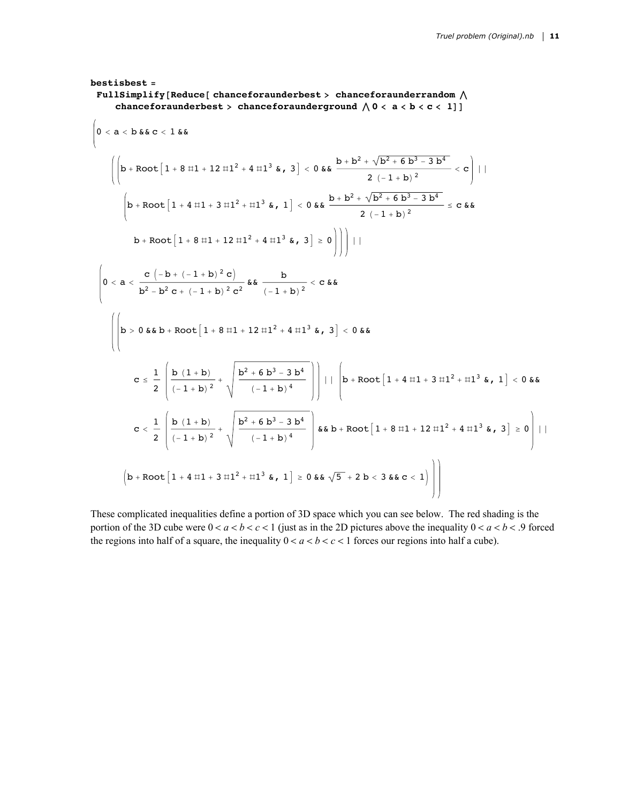$$
bestis best = \text{FullSimplify [Reduce [ chanceforaunderbest > chanceforaunderrandom A \text{ the image})\n (henceforward the set > c = 1]\n (0 < a < b < c < 1)]\n (0 < a < b && c < 1 && c\n )\n (0 < a < b && c < 1 && c\n )\n (0 < a < b && c < 1 && c\n )\n (1 + 8 < 1 + 12 < 11^2 + 4 < 11^3 && c\n )\n (1 + 1 + 12 < 11^2 + 11^3 && c\n )\n (1 + 1 + 12 < 11^2 + 11^3 && c\n )\n (1 + 1 + 12 < 11^2 + 11^3 && c\n )\n (1 + 1 + 12 < 11^2 + 11^3 && c\n )\n (1 + 1 + 12 < 11^2 + 11^3 && c\n )\n (1 + 1 + 12 < 11^2 + 11^3 && c\n )\n (1 + 1 + 12 < 11^2 + 11^3 && c\n )\n (1 + 1 + 12 < 11^2 + 11^3 && c\n )\n (2 + 1 + 12 && c\n )\n (3 + 2 + 12 < 12 + 12 + 12 + 11^2 + 11^3 && c\n )\n (4 + 12 + 12 + 12 + 12 + 11^2 + 11^3 && c\n )\n (5 + 12 + 12 + 12 + 11^2 + 11^3 && c\n )\n (6 + 12 + 12 + 12 + 12 + 11^2 + 11^3 && c\n )\n (7 + 12 + 12 + 12 + 11^2 + 11^3 && c\n )\n (8 + 12 + 12 + 11^2 + 11^3 && c\n )\
$$

These complicated inequalities define a portion of 3D space which you can see below. The red shading is the portion of the 3D cube were  $0 < a < b < c < 1$  (just as in the 2D pictures above the inequality  $0 < a < b < .9$  forced the regions into half of a square, the inequality  $0 < a < b < c < 1$  forces our regions into half a cube).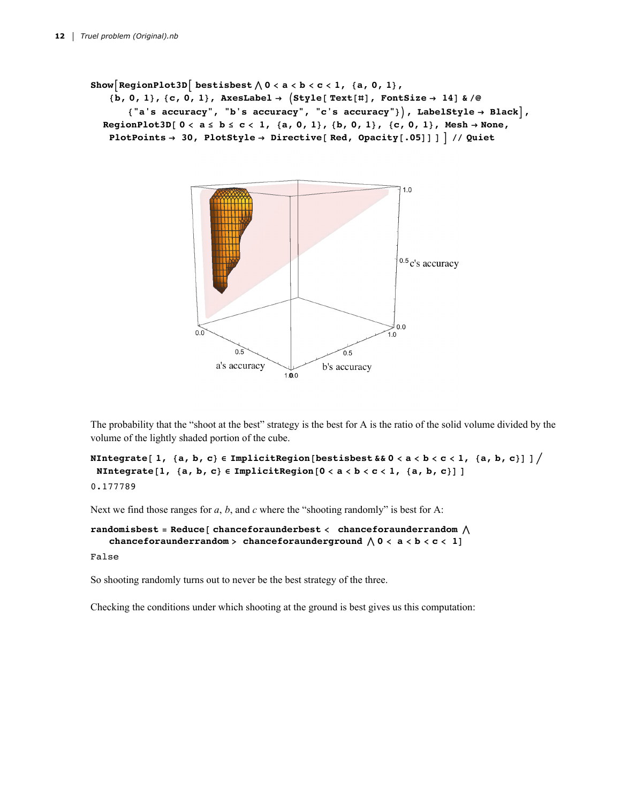```
Show\begin{bmatrix} \text{RegionPlot3D} \end{bmatrix} bestisbest \wedge 0 < a < b < c < 1, {a, 0, 1},
    \{b, 0, 1\}, \{c, 0, 1\}, AxesLabel \rightarrow \{Style[Text[\#], FontSize \rightarrow 14] & /@
        {"a's accuracy", "b's accuracy", "c's accuracy"}, LabelStyle → Black,
  RegionPlot3D[0 < a \leq b \leq c < 1, {a, 0, 1}, {b, 0, 1}, {c, 0, 1}, Mesh \rightarrow None,
    PlotPoints → 30, PlotStyle → Directive[ Red, Opacity[.05]] ]  // Quiet
```


The probability that the "shoot at the best" strategy is the best for A is the ratio of the solid volume divided by the volume of the lightly shaded portion of the cube.

```
NIntegrate [1, {a, b, c} \in ImplicitRegion [bestisbest & 0 < a < b < c < 1, {a, b, c} ] ] /
 NIntegrate [1, {a, b, c} \in ImplicitRegion [0 < a < b < c < 1, {a, b, c} ]]
0.177789
```
Next we find those ranges for *a*, *b*, and *c* where the "shooting randomly" is best for A:

```
randomisbest = Reduce[ chanceforaunderbest < chanceforaunderrandom 
   chanceforaunderrandom > chanceforaunderground \bigwedge 0 < a < b < c < 1]
```
False

So shooting randomly turns out to never be the best strategy of the three.

Checking the conditions under which shooting at the ground is best gives us this computation: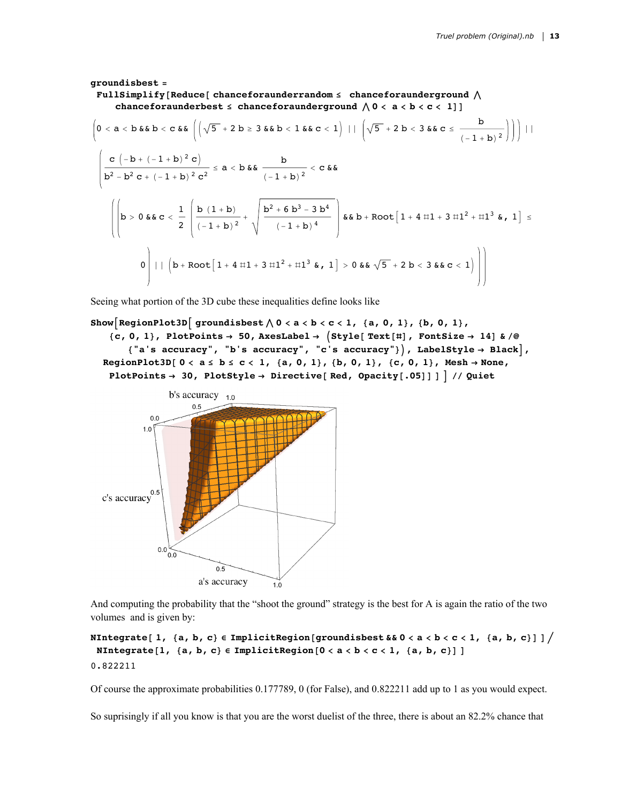### **groundisbest = FullSimplify[Reduce[ chanceforaunderrandom ≤ chanceforaunderground chanceforaunderbest**  $\leq$  **chanceforaunderground**  $\wedge$  0  $\lt$  **a**  $\lt$  **b**  $\lt$  **c**  $\lt$  1]]  $0 < a < b$  &  $b < c$  &  $\left(\left(\sqrt{5} + 2 b \ge 3 & 8 & b < 1 & 8 & c < 1\right) \mid \mid \left(\sqrt{5} + 2 b < 3 & 8 & c \le \frac{b}{(-1 + b)^2}\right)\right)\mid \mid$

$$
\left(\frac{c(-b+(-1+b)^2 c)}{b^2 - b^2 c + (-1+b)^2 c^2}\right) = a < b \& \frac{b}{(-1+b)^2} < c \& \frac{c}{b^2 - b^2 c + (-1+b)^2 c^2} \le a < b \& \frac{b}{(-1+b)^2} < c \& \frac{c}{b^2 - b^2 c + (-1+b)^2 c^2} \le a < b \& \frac{c}{b^2 - b^2 c + (-1+b)^2 c^2} \right)
$$
\n
$$
\left(\left|b > 0 \& c < \frac{1}{2} \left(\frac{b(1+b)}{(-1+b)^2} + \sqrt{\frac{b^2 + 6b^3 - 3b^4}{(-1+b)^4}}\right) \& b + \text{Root}\left[1+4 \text{ H1}+3 \text{ H1}^2 + \text{H1}^3 \& \frac{c}{b^2 - b^2 c + (-1+b)^2 c^2}\right] \right)\right)
$$

Seeing what portion of the 3D cube these inequalities define looks like

```
Show RegionPlot3D groundishest \wedge 0 < a < b < c < 1, {a, 0, 1}, {b, 0, 1},
    \{c, 0, 1\}, PlotPoints \rightarrow 50, AxesLabel \rightarrow (Style[Text[#], FontSize \rightarrow 14] & /@
       {"a's accuracy", "b's accuracy", "c's accuracy"}, LabelStyle → Black,
  RegionPlot3D[0 < a \le b \le c < 1, {a, 0, 1}, {b, 0, 1}, {c, 0, 1}, Mesh \rightarrow None,
   PlotPoints → 30, PlotStyle → Directive[ Red, Opacity[.05]] ]  // Quiet
```


And computing the probability that the "shoot the ground" strategy is the best for A is again the ratio of the two volumes and is given by:

```
NIntegrate [1, {a, b, c} \in ImplicitRegion [groundisbest & 0 < a < b < c < 1, {a, b, c} ] ] /
 NIntegrate [1, {a, b, c} \in ImplicitRegion [0 < a < b < c < 1, {a, b, c}] ]
0.822211
```
Of course the approximate probabilities 0.177789, 0 (for False), and 0.822211 add up to 1 as you would expect.

So suprisingly if all you know is that you are the worst duelist of the three, there is about an 82.2% chance that